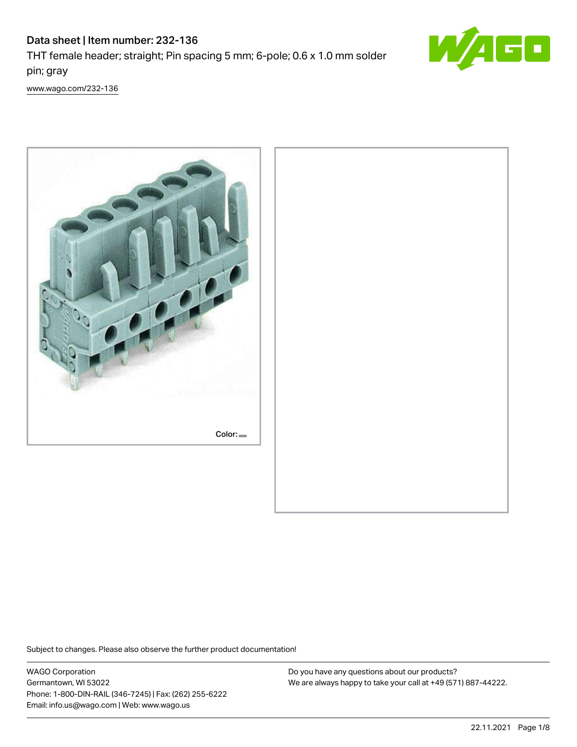# Data sheet | Item number: 232-136 THT female header; straight; Pin spacing 5 mm; 6-pole; 0.6 x 1.0 mm solder



[www.wago.com/232-136](http://www.wago.com/232-136)

pin; gray



Subject to changes. Please also observe the further product documentation!

WAGO Corporation Germantown, WI 53022 Phone: 1-800-DIN-RAIL (346-7245) | Fax: (262) 255-6222 Email: info.us@wago.com | Web: www.wago.us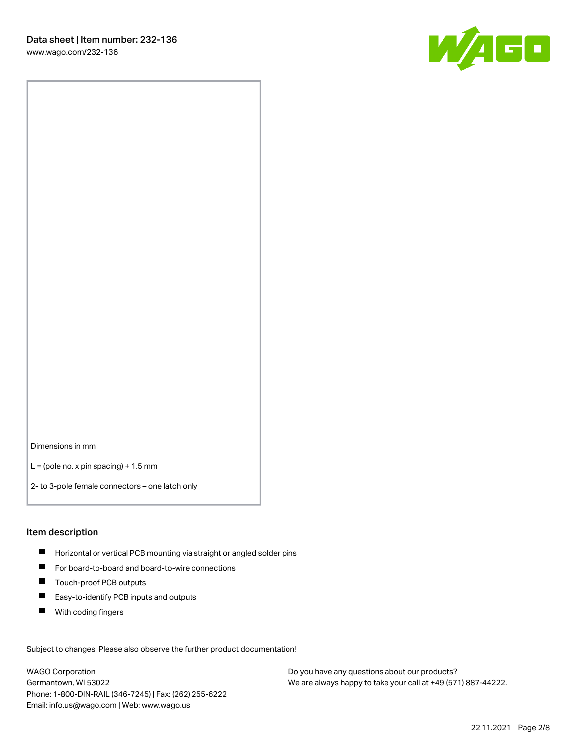

Dimensions in mm

 $L =$  (pole no. x pin spacing) + 1.5 mm

2- to 3-pole female connectors – one latch only

### Item description

- **Horizontal or vertical PCB mounting via straight or angled solder pins**
- For board-to-board and board-to-wire connections
- $\blacksquare$ Touch-proof PCB outputs
- $\blacksquare$ Easy-to-identify PCB inputs and outputs
- $\blacksquare$ With coding fingers

Subject to changes. Please also observe the further product documentation! Data

WAGO Corporation Germantown, WI 53022 Phone: 1-800-DIN-RAIL (346-7245) | Fax: (262) 255-6222 Email: info.us@wago.com | Web: www.wago.us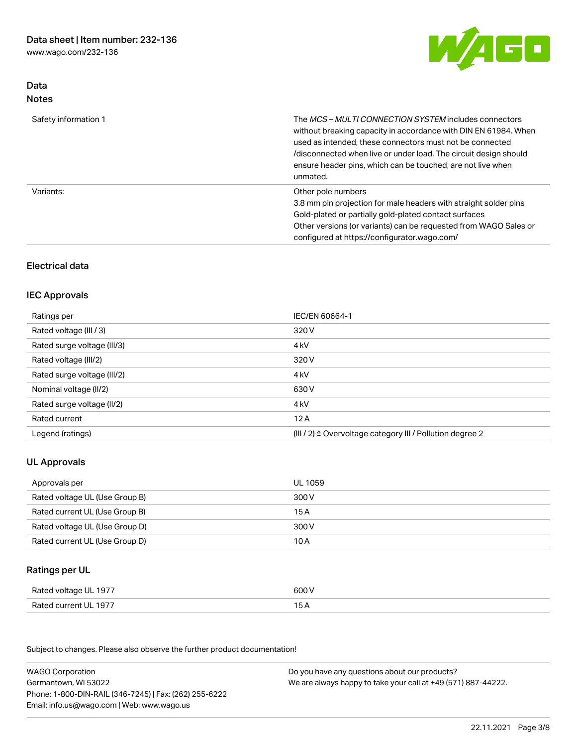[www.wago.com/232-136](http://www.wago.com/232-136)



# Data Notes

| Safety information 1 | The <i>MCS – MULTI CONNECTION SYSTEM</i> includes connectors<br>without breaking capacity in accordance with DIN EN 61984. When<br>used as intended, these connectors must not be connected<br>/disconnected when live or under load. The circuit design should<br>ensure header pins, which can be touched, are not live when<br>unmated. |
|----------------------|--------------------------------------------------------------------------------------------------------------------------------------------------------------------------------------------------------------------------------------------------------------------------------------------------------------------------------------------|
| Variants:            | Other pole numbers<br>3.8 mm pin projection for male headers with straight solder pins<br>Gold-plated or partially gold-plated contact surfaces<br>Other versions (or variants) can be requested from WAGO Sales or<br>configured at https://configurator.wago.com/                                                                        |

# Electrical data

### IEC Approvals

| Ratings per                 | IEC/EN 60664-1                                                        |
|-----------------------------|-----------------------------------------------------------------------|
| Rated voltage (III / 3)     | 320 V                                                                 |
| Rated surge voltage (III/3) | 4 <sub>k</sub> V                                                      |
| Rated voltage (III/2)       | 320 V                                                                 |
| Rated surge voltage (III/2) | 4 <sub>k</sub> V                                                      |
| Nominal voltage (II/2)      | 630 V                                                                 |
| Rated surge voltage (II/2)  | 4 <sub>k</sub> V                                                      |
| Rated current               | 12A                                                                   |
| Legend (ratings)            | $(III / 2)$ $\triangle$ Overvoltage category III / Pollution degree 2 |

# UL Approvals

| Approvals per                  | UL 1059 |
|--------------------------------|---------|
| Rated voltage UL (Use Group B) | 300 V   |
| Rated current UL (Use Group B) | 15 A    |
| Rated voltage UL (Use Group D) | 300 V   |
| Rated current UL (Use Group D) | 10 A    |

# Ratings per UL

| UL 1977                | 600                                 |
|------------------------|-------------------------------------|
| Rated voltage          | .                                   |
| Rated current<br>-1977 | the contract of the contract of the |

Subject to changes. Please also observe the further product documentation!

| <b>WAGO Corporation</b>                                | Do you have any questions about our products?                 |
|--------------------------------------------------------|---------------------------------------------------------------|
| Germantown, WI 53022                                   | We are always happy to take your call at +49 (571) 887-44222. |
| Phone: 1-800-DIN-RAIL (346-7245)   Fax: (262) 255-6222 |                                                               |
| Email: info.us@wago.com   Web: www.wago.us             |                                                               |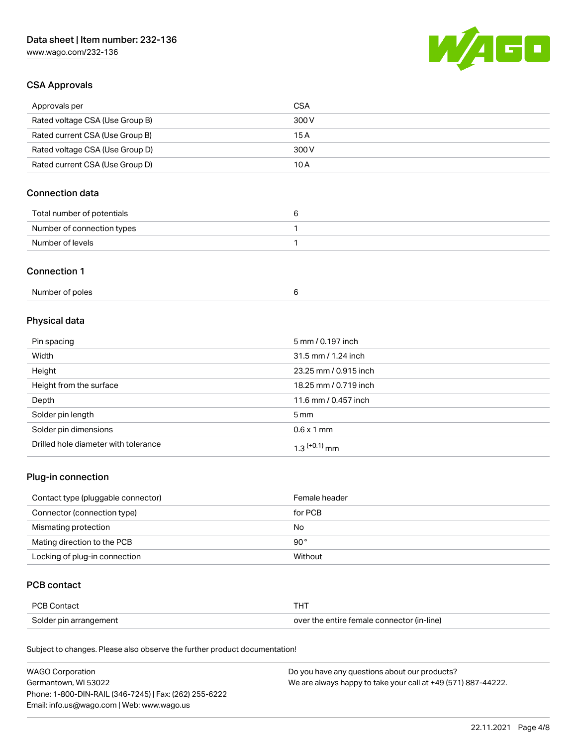[www.wago.com/232-136](http://www.wago.com/232-136)



### CSA Approvals

| Approvals per                   | CSA   |
|---------------------------------|-------|
| Rated voltage CSA (Use Group B) | 300 V |
| Rated current CSA (Use Group B) | 15 A  |
| Rated voltage CSA (Use Group D) | 300 V |
| Rated current CSA (Use Group D) | 10 A  |

# Connection data

| Total number of potentials |  |
|----------------------------|--|
| Number of connection types |  |
| Number of levels           |  |

### Connection 1

| Number of poles |  |  |
|-----------------|--|--|
|-----------------|--|--|

# Physical data

| Pin spacing                          | 5 mm / 0.197 inch     |
|--------------------------------------|-----------------------|
| Width                                | 31.5 mm / 1.24 inch   |
| Height                               | 23.25 mm / 0.915 inch |
| Height from the surface              | 18.25 mm / 0.719 inch |
| Depth                                | 11.6 mm / 0.457 inch  |
| Solder pin length                    | $5 \,\mathrm{mm}$     |
| Solder pin dimensions                | $0.6 \times 1$ mm     |
| Drilled hole diameter with tolerance | $1.3$ $(+0.1)$ mm     |

# Plug-in connection

| Contact type (pluggable connector) | Female header |
|------------------------------------|---------------|
| Connector (connection type)        | for PCB       |
| Mismating protection               | No            |
| Mating direction to the PCB        | $90^{\circ}$  |
| Locking of plug-in connection      | Without       |

## PCB contact

| PCB Contact            | тнт                                        |
|------------------------|--------------------------------------------|
| Solder pin arrangement | over the entire female connector (in-line) |

Subject to changes. Please also observe the further product documentation!

| <b>WAGO Corporation</b>                                | Do you have any questions about our products?                 |
|--------------------------------------------------------|---------------------------------------------------------------|
| Germantown, WI 53022                                   | We are always happy to take your call at +49 (571) 887-44222. |
| Phone: 1-800-DIN-RAIL (346-7245)   Fax: (262) 255-6222 |                                                               |
| Email: info.us@wago.com   Web: www.wago.us             |                                                               |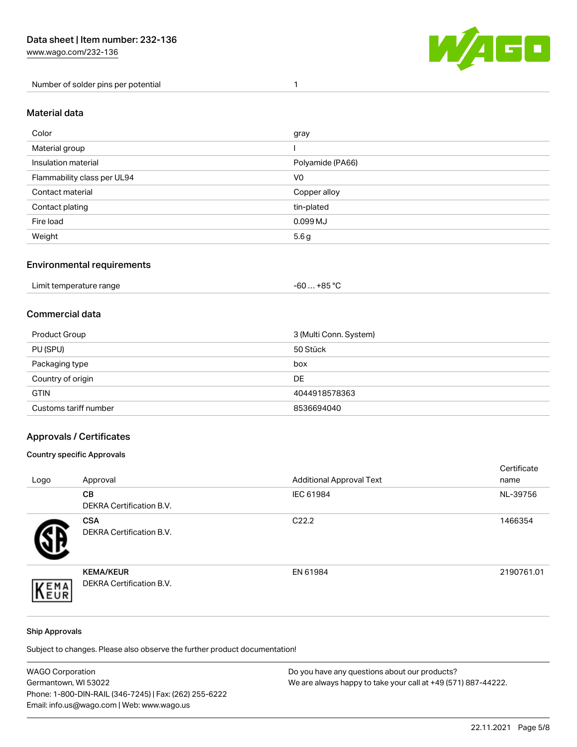Number of solder pins per potential 1



### Material data

| Color                       | gray             |
|-----------------------------|------------------|
| Material group              |                  |
| Insulation material         | Polyamide (PA66) |
| Flammability class per UL94 | V <sub>0</sub>   |
| Contact material            | Copper alloy     |
| Contact plating             | tin-plated       |
| Fire load                   | 0.099 MJ         |
| Weight                      | 5.6g             |

### Environmental requirements

| Limit temperature range<br>. | . +85 °C<br>-60 |  |
|------------------------------|-----------------|--|
|------------------------------|-----------------|--|

### Commercial data

| Product Group         | 3 (Multi Conn. System) |
|-----------------------|------------------------|
| PU (SPU)              | 50 Stück               |
| Packaging type        | box                    |
| Country of origin     | <b>DE</b>              |
| <b>GTIN</b>           | 4044918578363          |
| Customs tariff number | 8536694040             |

### Approvals / Certificates

### Country specific Approvals

| Logo | Approval                                            | <b>Additional Approval Text</b> | Certificate<br>name |
|------|-----------------------------------------------------|---------------------------------|---------------------|
|      | CВ<br><b>DEKRA Certification B.V.</b>               | IEC 61984                       | NL-39756            |
|      | <b>CSA</b><br>DEKRA Certification B.V.              | C <sub>22.2</sub>               | 1466354             |
| EMA  | <b>KEMA/KEUR</b><br><b>DEKRA Certification B.V.</b> | EN 61984                        | 2190761.01          |

### Ship Approvals

Subject to changes. Please also observe the further product documentation!

| <b>WAGO Corporation</b>                                | Do you have any questions about our products?                 |
|--------------------------------------------------------|---------------------------------------------------------------|
| Germantown, WI 53022                                   | We are always happy to take your call at +49 (571) 887-44222. |
| Phone: 1-800-DIN-RAIL (346-7245)   Fax: (262) 255-6222 |                                                               |
| Email: info.us@wago.com   Web: www.wago.us             |                                                               |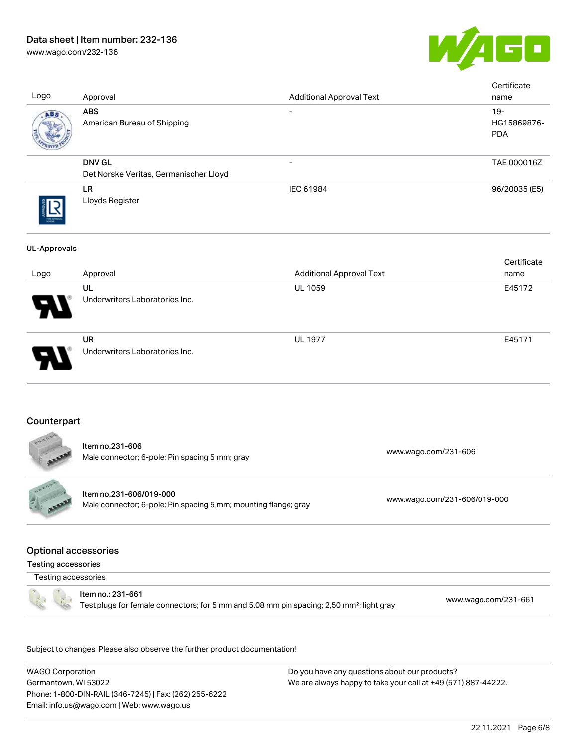# Data sheet | Item number: 232-136

[www.wago.com/232-136](http://www.wago.com/232-136)



| Logo                                                      | Approval                                                                                                                   | <b>Additional Approval Text</b> |                      | Certificate<br>name                 |
|-----------------------------------------------------------|----------------------------------------------------------------------------------------------------------------------------|---------------------------------|----------------------|-------------------------------------|
| ABS                                                       | <b>ABS</b><br>American Bureau of Shipping                                                                                  |                                 |                      | $19 -$<br>HG15869876-<br><b>PDA</b> |
|                                                           | <b>DNV GL</b><br>Det Norske Veritas, Germanischer Lloyd                                                                    |                                 |                      | TAE 000016Z                         |
|                                                           | LR<br>Lloyds Register                                                                                                      | IEC 61984                       |                      | 96/20035 (E5)                       |
| <b>UL-Approvals</b>                                       |                                                                                                                            |                                 |                      |                                     |
| Logo                                                      | Approval                                                                                                                   | <b>Additional Approval Text</b> |                      | Certificate<br>name                 |
|                                                           | UL                                                                                                                         | UL 1059                         |                      | E45172                              |
|                                                           | Underwriters Laboratories Inc.                                                                                             |                                 |                      |                                     |
|                                                           | <b>UR</b><br>Underwriters Laboratories Inc.                                                                                | <b>UL 1977</b>                  |                      | E45171                              |
| Counterpart                                               |                                                                                                                            |                                 |                      |                                     |
|                                                           | Item no.231-606<br>Male connector; 6-pole; Pin spacing 5 mm; gray                                                          |                                 | www.wago.com/231-606 |                                     |
| Franc<br>ARABA                                            | Item no.231-606/019-000<br>Male connector; 6-pole; Pin spacing 5 mm; mounting flange; gray                                 | www.wago.com/231-606/019-000    |                      |                                     |
| <b>Optional accessories</b><br><b>Testing accessories</b> |                                                                                                                            |                                 |                      |                                     |
| Testing accessories                                       |                                                                                                                            |                                 |                      |                                     |
|                                                           | Item no.: 231-661<br>Test plugs for female connectors; for 5 mm and 5.08 mm pin spacing; 2,50 mm <sup>2</sup> ; light gray |                                 |                      | www.wago.com/231-661                |
|                                                           | Subject to changes. Please also observe the further product documentation!                                                 |                                 |                      |                                     |

WAGO Corporation Germantown, WI 53022 Phone: 1-800-DIN-RAIL (346-7245) | Fax: (262) 255-6222 Email: info.us@wago.com | Web: www.wago.us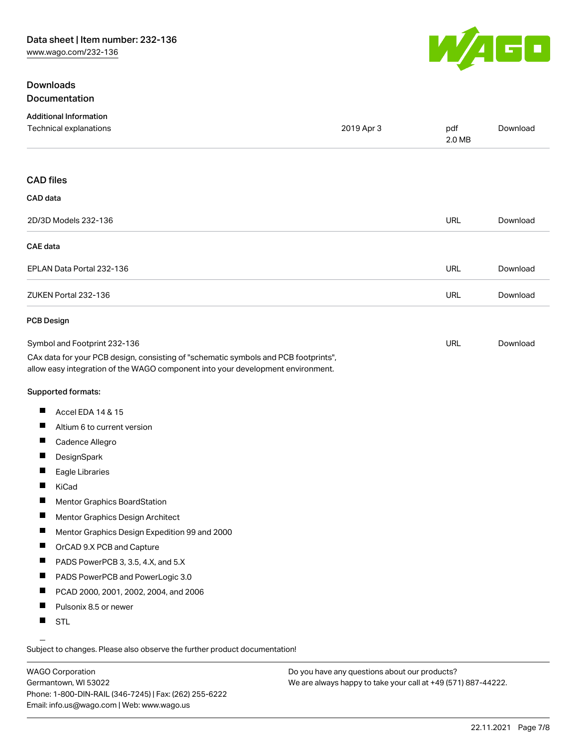# **Downloads** Documentation



| <b>Additional Information</b><br>Technical explanations                                                                                                                                                | 2019 Apr 3 | pdf<br>2.0 MB | Download |
|--------------------------------------------------------------------------------------------------------------------------------------------------------------------------------------------------------|------------|---------------|----------|
| <b>CAD files</b>                                                                                                                                                                                       |            |               |          |
| CAD data                                                                                                                                                                                               |            |               |          |
| 2D/3D Models 232-136                                                                                                                                                                                   |            | URL           | Download |
| <b>CAE</b> data                                                                                                                                                                                        |            |               |          |
| EPLAN Data Portal 232-136                                                                                                                                                                              |            | URL           | Download |
| ZUKEN Portal 232-136                                                                                                                                                                                   |            | <b>URL</b>    | Download |
| <b>PCB Design</b>                                                                                                                                                                                      |            |               |          |
| Symbol and Footprint 232-136<br>CAx data for your PCB design, consisting of "schematic symbols and PCB footprints",<br>allow easy integration of the WAGO component into your development environment. |            | URL           | Download |
| Supported formats:                                                                                                                                                                                     |            |               |          |
| щ<br>Accel EDA 14 & 15                                                                                                                                                                                 |            |               |          |
| Altium 6 to current version                                                                                                                                                                            |            |               |          |
| ш<br>Cadence Allegro                                                                                                                                                                                   |            |               |          |
| щ<br>DesignSpark                                                                                                                                                                                       |            |               |          |
| Eagle Libraries                                                                                                                                                                                        |            |               |          |
| ш<br>KiCad                                                                                                                                                                                             |            |               |          |
| ш<br>Mentor Graphics BoardStation                                                                                                                                                                      |            |               |          |
| ш<br>Mentor Graphics Design Architect                                                                                                                                                                  |            |               |          |
| ш<br>Mentor Graphics Design Expedition 99 and 2000                                                                                                                                                     |            |               |          |
| ш<br>OrCAD 9.X PCB and Capture                                                                                                                                                                         |            |               |          |
| PADS PowerPCB 3, 3.5, 4.X, and 5.X<br>П                                                                                                                                                                |            |               |          |
| ш<br>PADS PowerPCB and PowerLogic 3.0                                                                                                                                                                  |            |               |          |
| п<br>PCAD 2000, 2001, 2002, 2004, and 2006                                                                                                                                                             |            |               |          |
| П<br>Pulsonix 8.5 or newer                                                                                                                                                                             |            |               |          |
| H<br>STL                                                                                                                                                                                               |            |               |          |

Subject to changes. Please also observe the further product documentation!

WAGO Corporation Germantown, WI 53022 Phone: 1-800-DIN-RAIL (346-7245) | Fax: (262) 255-6222 Email: info.us@wago.com | Web: www.wago.us